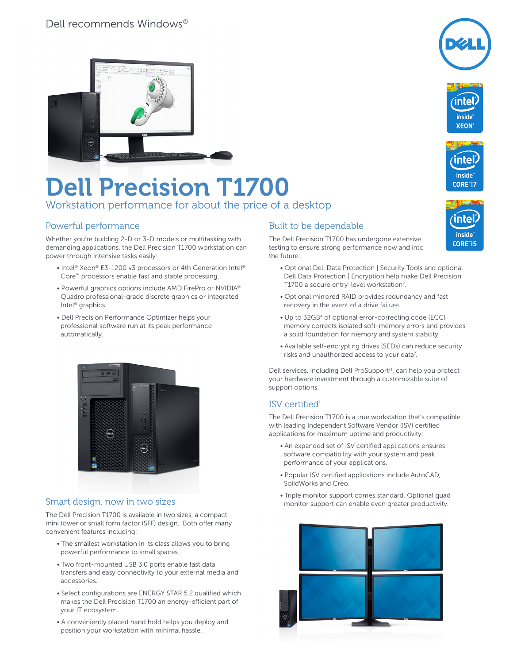

# Dell Precision T1700

Workstation performance for about the price of a desktop

### Powerful performance

Whether you're building 2-D or 3-D models or multitasking with demanding applications, the Dell Precision T1700 workstation can power through intensive tasks easily:

- Intel<sup>®</sup> Xeon® E3-1200 v3 processors or 4th Generation Intel® Core™ processors enable fast and stable processing.
- Powerful graphics options include AMD FirePro or NVIDIA® Quadro professional-grade discrete graphics or integrated Intel® graphics.
- Dell Precision Performance Optimizer helps your professional software run at its peak performance automatically.



#### Smart design, now in two sizes

The Dell Precision T1700 is available in two sizes, a compact mini tower or small form factor (SFF) design. Both offer many convenient features including:

- The smallest workstation in its class allows you to bring powerful performance to small spaces.
- Two front-mounted USB 3.0 ports enable fast data transfers and easy connectivity to your external media and accessories.
- Select configurations are ENERGY STAR 5.2 qualified which makes the Dell Precision T1700 an energy-efficient part of your IT ecosystem.
- A conveniently placed hand hold helps you deploy and position your workstation with minimal hassle.

### Built to be dependable

The Dell Precision T1700 has undergone extensive testing to ensure strong performance now and into the future:

- Optional Dell Data Protection | Security Tools and optional Dell Data Protection | Encryption help make Dell Precision T1700 a secure entry-level workstation<sup>7</sup>.
- Optional mirrored RAID provides redundancy and fast recovery in the event of a drive failure.
- Up to 32GB4 of optional error-correcting code (ECC) memory corrects isolated soft-memory errors and provides a solid foundation for memory and system stability.
- Available self-encrypting drives (SEDs) can reduce security risks and unauthorized access to your data<sup>7</sup>.

Dell services, including Dell ProSupport<sup>11</sup>, can help you protect your hardware investment through a customizable suite of support options.

### ISV certified $1$

The Dell Precision T1700 is a true workstation that's compatible with leading Independent Software Vendor (ISV) certified applications for maximum uptime and productivity:

- An expanded set of ISV certified applications ensures software compatibility with your system and peak performance of your applications.
- Popular ISV certified applications include AutoCAD, SolidWorks and Creo.
- Triple monitor support comes standard. Optional quad monitor support can enable even greater productivity.





*inside*